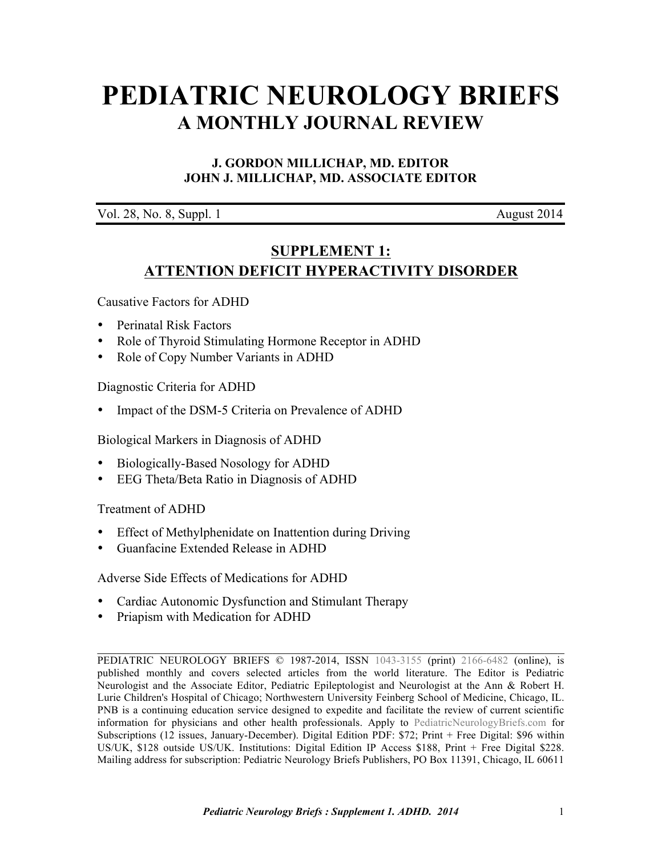# **[PEDIATRIC NEUROLOGY BRIEFS](http://www.pediatricneurologybriefs.com/) A MONTHLY JOURNAL REVIEW**

# **J. GORDON MILLICHAP, MD. EDITOR JOHN J. MILLICHAP, MD. ASSOCIATE EDITOR**

Vol. 28, No. 8, Suppl. 1 August 2014

# **SUPPLEMENT 1: ATTENTION DEFICIT HYPERACTIVITY DISORDER**

Causative Factors for ADHD

- Perinatal Risk Factors
- Role of Thyroid Stimulating Hormone Receptor in ADHD
- Role of Copy Number Variants in ADHD

Diagnostic Criteria for ADHD

• Impact of the DSM-5 Criteria on Prevalence of ADHD

Biological Markers in Diagnosis of ADHD

- Biologically-Based Nosology for ADHD
- EEG Theta/Beta Ratio in Diagnosis of ADHD

Treatment of ADHD

- Effect of Methylphenidate on Inattention during Driving
- Guanfacine Extended Release in ADHD

Adverse Side Effects of Medications for ADHD

- Cardiac Autonomic Dysfunction and Stimulant Therapy
- Priapism with Medication for ADHD

PEDIATRIC NEUROLOGY BRIEFS © 1987-2014, ISSN [1043-3155](http://www.worldcat.org/oclc/19417722) (print) [2166-6482](http://www.worldcat.org/oclc/781441925) (online), is published monthly and covers selected articles from the world literature. The Editor is Pediatric Neurologist and the Associate Editor, Pediatric Epileptologist and Neurologist at the Ann & Robert H. Lurie Children's Hospital of Chicago; Northwestern University Feinberg School of Medicine, Chicago, IL. PNB is a continuing education service designed to expedite and facilitate the review of current scientific information for physicians and other health professionals. Apply to [PediatricNeurologyBriefs.com](http://www.pediatricneurologybriefs.com/subscribe.html) for Subscriptions (12 issues, January-December). Digital Edition PDF: \$72; Print + Free Digital: \$96 within US/UK, \$128 outside US/UK. Institutions: Digital Edition IP Access \$188, Print + Free Digital \$228. Mailing address for subscription: Pediatric Neurology Briefs Publishers, PO Box 11391, Chicago, IL 60611

 $\mathcal{L}_\text{G} = \{ \mathcal{L}_\text{G} = \{ \mathcal{L}_\text{G} = \{ \mathcal{L}_\text{G} = \{ \mathcal{L}_\text{G} = \{ \mathcal{L}_\text{G} = \{ \mathcal{L}_\text{G} = \{ \mathcal{L}_\text{G} = \{ \mathcal{L}_\text{G} = \{ \mathcal{L}_\text{G} = \{ \mathcal{L}_\text{G} = \{ \mathcal{L}_\text{G} = \{ \mathcal{L}_\text{G} = \{ \mathcal{L}_\text{G} = \{ \mathcal{L}_\text{G} = \{ \mathcal{L}_\text{G$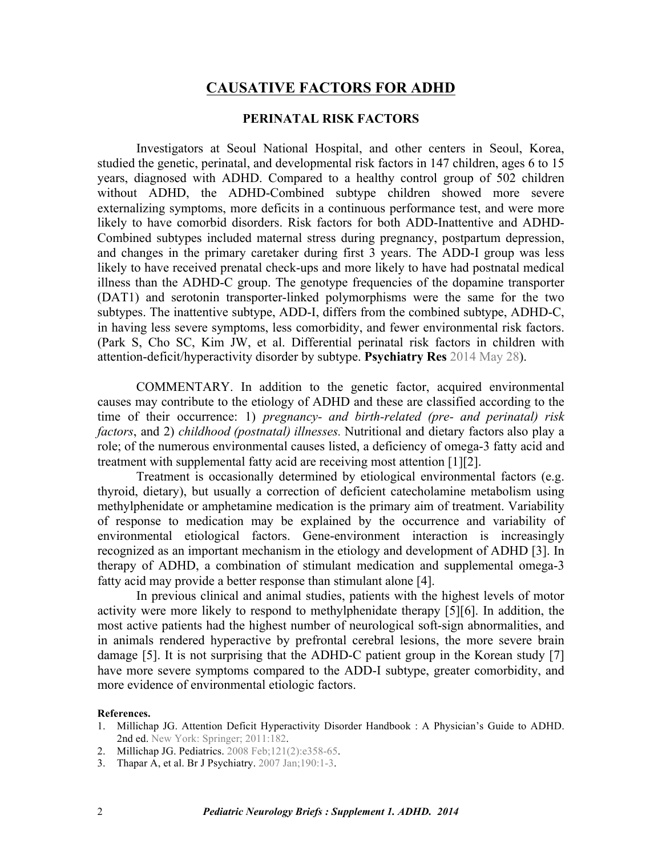# **CAUSATIVE FACTORS FOR ADHD**

# **PERINATAL RISK FACTORS**

Investigators at Seoul National Hospital, and other centers in Seoul, Korea, studied the genetic, perinatal, and developmental risk factors in 147 children, ages 6 to 15 years, diagnosed with ADHD. Compared to a healthy control group of 502 children without ADHD, the ADHD-Combined subtype children showed more severe externalizing symptoms, more deficits in a continuous performance test, and were more likely to have comorbid disorders. Risk factors for both ADD-Inattentive and ADHD-Combined subtypes included maternal stress during pregnancy, postpartum depression, and changes in the primary caretaker during first 3 years. The ADD-I group was less likely to have received prenatal check-ups and more likely to have had postnatal medical illness than the ADHD-C group. The genotype frequencies of the dopamine transporter (DAT1) and serotonin transporter-linked polymorphisms were the same for the two subtypes. The inattentive subtype, ADD-I, differs from the combined subtype, ADHD-C, in having less severe symptoms, less comorbidity, and fewer environmental risk factors. [\(Park S, Cho SC, Kim JW, et al. Differential perinatal risk factors in children with](http://dx.doi.org/10.1016/j.psychres.2014.05.036) attention-deficit/hyperactivity disorder by subtype. **Psychiatry Res** 2014 May 28).

COMMENTARY. In addition to the genetic factor, acquired environmental causes may contribute to the etiology of ADHD and these are classified according to the time of their occurrence: 1) *pregnancy- and birth-related (pre- and perinatal) risk factors*, and 2) *childhood (postnatal) illnesses.* Nutritional and dietary factors also play a role; of the numerous environmental causes listed, a deficiency of omega-3 fatty acid and treatment with supplemental fatty acid are receiving most attention [1][2].

Treatment is occasionally determined by etiological environmental factors (e.g. thyroid, dietary), but usually a correction of deficient catecholamine metabolism using methylphenidate or amphetamine medication is the primary aim of treatment. Variability of response to medication may be explained by the occurrence and variability of environmental etiological factors. Gene-environment interaction is increasingly recognized as an important mechanism in the etiology and development of ADHD [3]. In therapy of ADHD, a combination of stimulant medication and supplemental omega-3 fatty acid may provide a better response than stimulant alone [4].

In previous clinical and animal studies, patients with the highest levels of motor activity were more likely to respond to methylphenidate therapy [5][6]. In addition, the most active patients had the highest number of neurological soft-sign abnormalities, and in animals rendered hyperactive by prefrontal cerebral lesions, the more severe brain damage [5]. It is not surprising that the ADHD-C patient group in the Korean study [7] have more severe symptoms compared to the ADD-I subtype, greater comorbidity, and more evidence of environmental etiologic factors.

### **References.**

- 1. [Millichap JG. Attention Deficit Hyperactivity Disorder Handbook : A Physician's Guide to ADHD.](http://dx.doi.org/10.1007/978-1-4419-1397-5) 2nd ed. New York: Springer; 2011:182.
- 2. Millichap [JG. Pediatrics. 2008 Feb;121\(2\):e358-65](http://dx.doi.org/10.1542/peds.2007-1332).
- 3. [Thapar A, et al. Br J Psychiatry. 2007 Jan;190:1-3.](http://dx.doi.org/10.1192/bjp.bp.106.027003)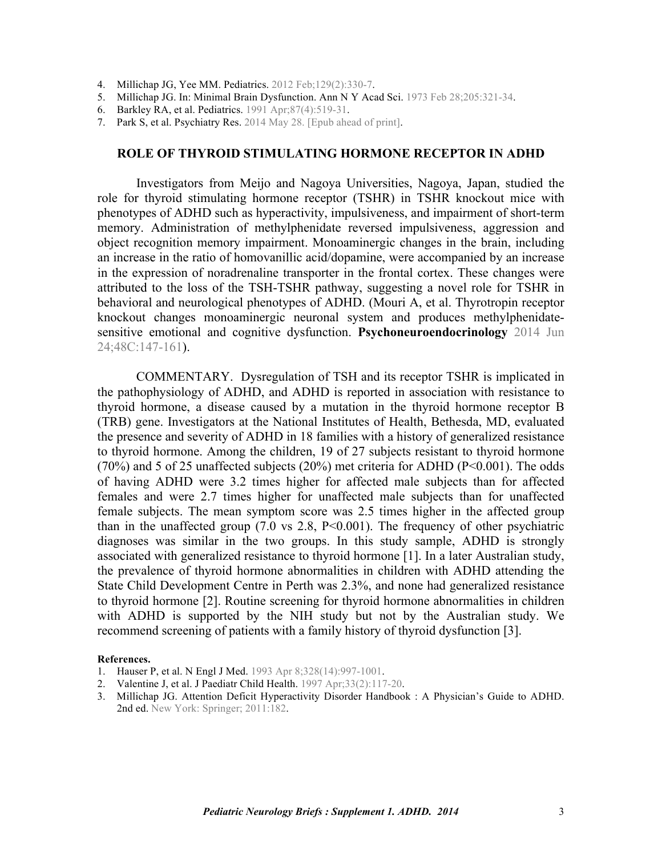- 4. [Millichap JG, Yee MM. Pediatrics. 2012 Feb;129\(2\):330-7](http://dx.doi.org/10.1542/peds.2011-2199).
- 5. Millichap [JG. In: Minimal Brain Dysfunction. Ann N Y Acad Sci. 1973 Feb 28;205:321-34.](http://dx.doi.org/10.1111/j.1749-6632.1973.tb43189.x)
- 6. [Barkley RA, et al. Pediatrics. 1991 Apr;87\(4\):519-31](http://www.ncbi.nlm.nih.gov/pubmed/2011430).
- 7. [Park S, et al. Psychiatry Res. 2014 May 28. \[Epub ahead of print\].](http://dx.doi.org/10.1016/j.psychres.2014.05.036)

### **ROLE OF THYROID STIMULATING HORMONE RECEPTOR IN ADHD**

Investigators from Meijo and Nagoya Universities, Nagoya, Japan, studied the role for thyroid stimulating hormone receptor (TSHR) in TSHR knockout mice with phenotypes of ADHD such as hyperactivity, impulsiveness, and impairment of short-term memory. Administration of methylphenidate reversed impulsiveness, aggression and object recognition memory impairment. Monoaminergic changes in the brain, including an increase in the ratio of homovanillic acid/dopamine, were accompanied by an increase in the expression of noradrenaline transporter in the frontal cortex. These changes were attributed to the loss of the TSH-TSHR pathway, suggesting a novel role for TSHR in [behavioral and neurological phenotypes of ADHD. \(Mouri A, et al. Thyrotropin receptor](http://dx.doi.org/10.1016/j.psyneuen.2014.05.021) knockout changes monoaminergic neuronal system and produces methylphenidatesensitive emotional and cognitive dysfunction. **Psychoneuroendocrinology** 2014 Jun 24;48C:147-161).

COMMENTARY. Dysregulation of TSH and its receptor TSHR is implicated in the pathophysiology of ADHD, and ADHD is reported in association with resistance to thyroid hormone, a disease caused by a mutation in the thyroid hormone receptor B (TRB) gene. Investigators at the National Institutes of Health, Bethesda, MD, evaluated the presence and severity of ADHD in 18 families with a history of generalized resistance to thyroid hormone. Among the children, 19 of 27 subjects resistant to thyroid hormone (70%) and 5 of 25 unaffected subjects (20%) met criteria for ADHD (P<0.001). The odds of having ADHD were 3.2 times higher for affected male subjects than for affected females and were 2.7 times higher for unaffected male subjects than for unaffected female subjects. The mean symptom score was 2.5 times higher in the affected group than in the unaffected group  $(7.0 \text{ vs } 2.8, \text{ P} < 0.001)$ . The frequency of other psychiatric diagnoses was similar in the two groups. In this study sample, ADHD is strongly associated with generalized resistance to thyroid hormone [1]. In a later Australian study, the prevalence of thyroid hormone abnormalities in children with ADHD attending the State Child Development Centre in Perth was 2.3%, and none had generalized resistance to thyroid hormone [2]. Routine screening for thyroid hormone abnormalities in children with ADHD is supported by the NIH study but not by the Australian study. We recommend screening of patients with a family history of thyroid dysfunction [3].

#### **References.**

- 1. [Hauser P, et al. N Engl J Med. 1993 Apr 8;328\(14\):997-1001](http://dx.doi.org/10.1056/NEJM199304083281403).
- 2. [Valentine J, et al. J Paediatr Child Health. 1997 Apr;33\(2\):117-20.](http://dx.doi.org/10.1111/j.1440-1754.1997.tb01012.x)
- 3. [Millichap JG. Attention Deficit Hyperactivity Disorder](http://dx.doi.org/10.1007/978-1-4419-1397-5) Handbook : A Physician's Guide to ADHD. 2nd ed. New York: Springer; 2011:182.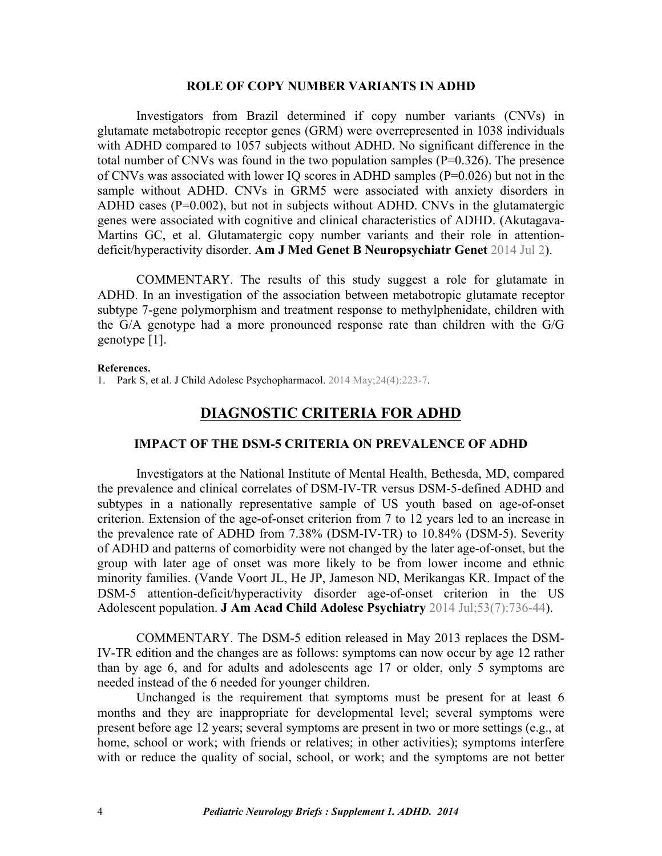### **ROLE OF COPY NUMBER VARIANTS IN ADHD**

Investigators from Brazil determined if copy number variants (CNVs) in glutamate metabotropic receptor genes (GRM) were overrepresented in 1038 individuals with ADHD compared to 1057 subjects without ADHD. No significant difference in the total number of CNVs was found in the two population samples  $(P=0.326)$ . The presence of CNVs was associated with lower IQ scores in ADHD samples (P=0.026) but not in the sample without ADHD. CNVs in GRM5 were associated with anxiety disorders in ADHD cases  $(P=0.002)$ , but not in subjects without ADHD. CNVs in the glutamatergic [genes were associated with cognitive and clinical characteristics of ADHD. \(Akutagava-](http://dx.doi.org/10.1002/ajmg.b.32253)Martins GC, et al. Glutamatergic copy number variants and their role in attentiondeficit/hyperactivity disorder. **Am J Med Genet B Neuropsychiatr Genet** 2014 Jul 2).

 COMMENTARY. The results of this study suggest a role for glutamate in ADHD. In an investigation of the association between metabotropic glutamate receptor subtype 7-gene polymorphism and treatment response to methylphenidate, children with the G/A genotype had a more pronounced response rate than children with the G/G genotype [1].

#### **References.**

1. [Park S, et al. J Child Adolesc Psychopharmacol. 2014 May;24\(4\):223-7](http://dx.doi.org/10.1089/cap.2013.0079).

# **DIAGNOSTIC CRITERIA FOR ADHD**

# **IMPACT OF THE DSM-5 CRITERIA ON PREVALENCE OF ADHD**

Investigators at the National Institute of Mental Health, Bethesda, MD, compared the prevalence and clinical correlates of DSM-IV-TR versus DSM-5-defined ADHD and subtypes in a nationally representative sample of US youth based on age-of-onset criterion. Extension of the age-of-onset criterion from 7 to 12 years led to an increase in the prevalence rate of ADHD from 7.38% (DSM-IV-TR) to 10.84% (DSM-5). Severity of ADHD and patterns of comorbidity were not changed by the later age-of-onset, but the group with later age of onset was more likely to be from lower income and ethnic [minority families. \(Vande Voort JL, He JP, Jameson ND, Merikangas KR. Impact of the](http://dx.doi.org/10.1016/j.jaac.2014.03.005) DSM-5 attention-deficit/hyperactivity disorder age-of-onset criterion in the US Adolescent population. **J Am Acad Child Adolesc Psychiatry** 2014 Jul;53(7):736-44).

COMMENTARY. The DSM-5 edition released in May 2013 replaces the DSM-IV-TR edition and the changes are as follows: symptoms can now occur by age 12 rather than by age 6, and for adults and adolescents age 17 or older, only 5 symptoms are needed instead of the 6 needed for younger children.

Unchanged is the requirement that symptoms must be present for at least 6 months and they are inappropriate for developmental level; several symptoms were present before age 12 years; several symptoms are present in two or more settings (e.g., at home, school or work; with friends or relatives; in other activities); symptoms interfere with or reduce the quality of social, school, or work; and the symptoms are not better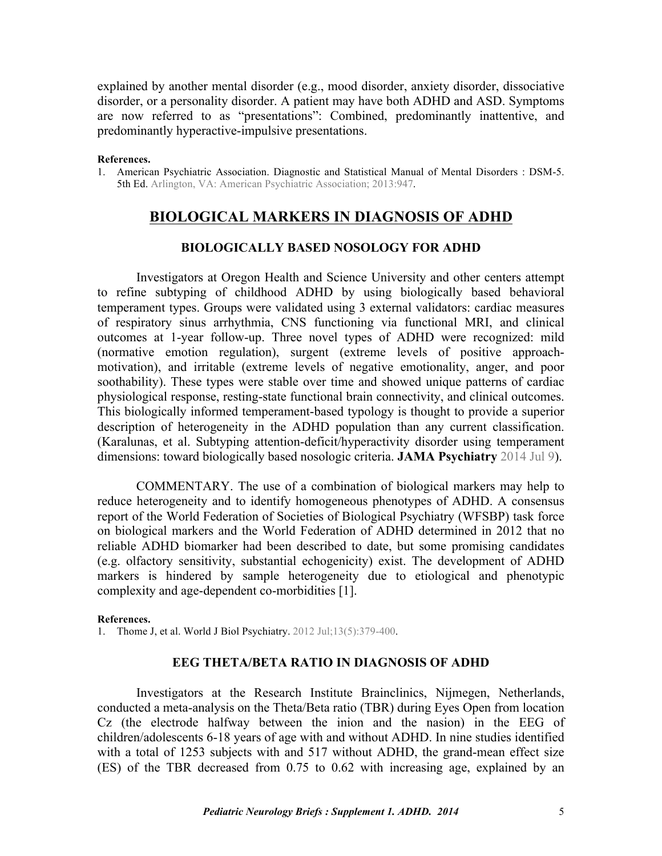explained by another mental disorder (e.g., mood disorder, anxiety disorder, dissociative disorder, or a personality disorder. A patient may have both ADHD and ASD. Symptoms are now referred to as "presentations": Combined, predominantly inattentive, and predominantly hyperactive-impulsive presentations.

#### **References.**

1. [American Psychiatric Association. Diagnostic and Statistical Manual of Mental Disorders : DSM-5.](http://www.worldcat.org/oclc/847226928) 5th Ed. Arlington, VA: American Psychiatric Association; 2013:947.

# **BIOLOGICAL MARKERS IN DIAGNOSIS OF ADHD**

# **BIOLOGICALLY BASED NOSOLOGY FOR ADHD**

Investigators at Oregon Health and Science University and other centers attempt to refine subtyping of childhood ADHD by using biologically based behavioral temperament types. Groups were validated using 3 external validators: cardiac measures of respiratory sinus arrhythmia, CNS functioning via functional MRI, and clinical outcomes at 1-year follow-up. Three novel types of ADHD were recognized: mild (normative emotion regulation), surgent (extreme levels of positive approachmotivation), and irritable (extreme levels of negative emotionality, anger, and poor soothability). These types were stable over time and showed unique patterns of cardiac physiological response, resting-state functional brain connectivity, and clinical outcomes. This biologically informed temperament-based typology is thought to provide a superior description of heterogeneity in the ADHD population than any current classification. [\(Karalunas, et al. Subtyping attention-deficit/hyperactivity disorder using temperament](http://dx.doi.org/10.1001/jamapsychiatry.2014.763) dimensions: toward biologically based nosologic criteria. **JAMA Psychiatry** 2014 Jul 9).

 COMMENTARY. The use of a combination of biological markers may help to reduce heterogeneity and to identify homogeneous phenotypes of ADHD. A consensus report of the World Federation of Societies of Biological Psychiatry (WFSBP) task force on biological markers and the World Federation of ADHD determined in 2012 that no reliable ADHD biomarker had been described to date, but some promising candidates (e.g. olfactory sensitivity, substantial echogenicity) exist. The development of ADHD markers is hindered by sample heterogeneity due to etiological and phenotypic complexity and age-dependent co-morbidities [1].

#### **References.**

1. [Thome J, et al. World J Biol Psychiatry. 2012 Jul;13\(5\):379-400.](http://dx.doi.org/10.3109/15622975.2012.690535)

# **EEG THETA/BETA RATIO IN DIAGNOSIS OF ADHD**

Investigators at the Research Institute Brainclinics, Nijmegen, Netherlands, conducted a meta-analysis on the Theta/Beta ratio (TBR) during Eyes Open from location Cz (the electrode halfway between the inion and the nasion) in the EEG of children/adolescents 6-18 years of age with and without ADHD. In nine studies identified with a total of 1253 subjects with and 517 without ADHD, the grand-mean effect size (ES) of the TBR decreased from 0.75 to 0.62 with increasing age, explained by an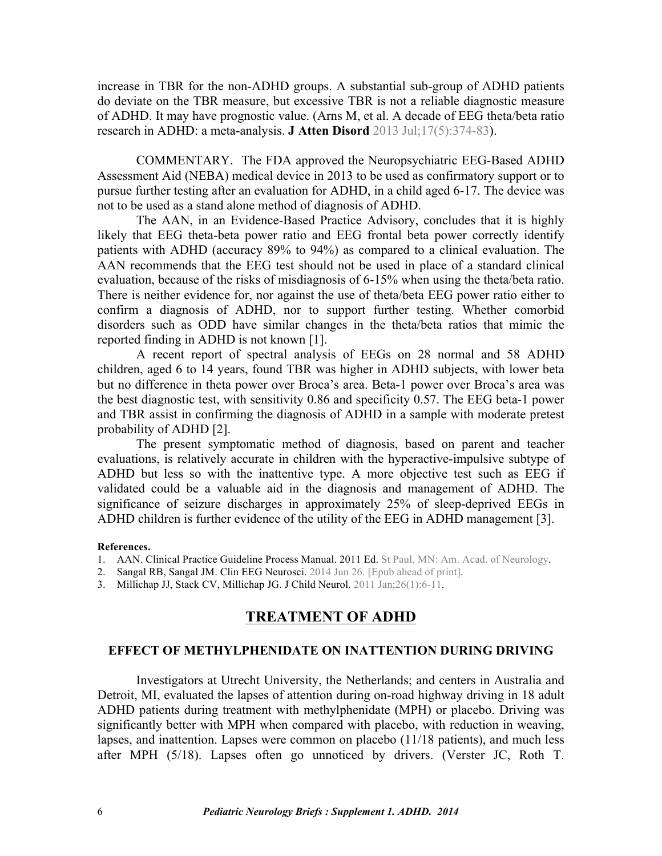increase in TBR for the non-ADHD groups. A substantial sub-group of ADHD patients do deviate on the TBR measure, but excessive TBR is not a reliable diagnostic measure of ADHD. It [may have prognostic value. \(Arns M, et al. A decade of EEG theta/beta ratio](http://dx.doi.org/10.1177/1087054712460087) research in ADHD: a meta-analysis. **J Atten Disord** 2013 Jul;17(5):374-83).

 COMMENTARY. The FDA approved the Neuropsychiatric EEG-Based ADHD Assessment Aid (NEBA) medical device in 2013 to be used as confirmatory support or to pursue further testing after an evaluation for ADHD, in a child aged 6-17. The device was not to be used as a stand alone method of diagnosis of ADHD.

The AAN, in an Evidence-Based Practice Advisory, concludes that it is highly likely that EEG theta-beta power ratio and EEG frontal beta power correctly identify patients with ADHD (accuracy 89% to 94%) as compared to a clinical evaluation. The AAN recommends that the EEG test should not be used in place of a standard clinical evaluation, because of the risks of misdiagnosis of 6-15% when using the theta/beta ratio. There is neither evidence for, nor against the use of theta/beta EEG power ratio either to confirm a diagnosis of ADHD, nor to support further testing. Whether comorbid disorders such as ODD have similar changes in the theta/beta ratios that mimic the reported finding in ADHD is not known [1].

A recent report of spectral analysis of EEGs on 28 normal and 58 ADHD children, aged 6 to 14 years, found TBR was higher in ADHD subjects, with lower beta but no difference in theta power over Broca's area. Beta-1 power over Broca's area was the best diagnostic test, with sensitivity 0.86 and specificity 0.57. The EEG beta-1 power and TBR assist in confirming the diagnosis of ADHD in a sample with moderate pretest probability of ADHD [2].

The present symptomatic method of diagnosis, based on parent and teacher evaluations, is relatively accurate in children with the hyperactive-impulsive subtype of ADHD but less so with the inattentive type. A more objective test such as EEG if validated could be a valuable aid in the diagnosis and management of ADHD. The significance of seizure discharges in approximately 25% of sleep-deprived EEGs in ADHD children is further evidence of the utility of the EEG in ADHD management [3].

#### **References.**

- 1. [AAN. Clinical Practice Guideline Process Manual. 2011 Ed. St Paul, MN: Am. Acad. of Neurology](http://tools.aan.com/globals/axon/assets/9023.pdf).<br>2. Sangal RB, Sangal JM. Clin EEG Neurosci. 2014 Jun 26. [Epub ahead of print].
- 
- 3. [Millichap JJ, Stack CV, Millichap JG. J Child Neurol. 2011 Jan;26\(1\):6-11.](http://dx.doi.org/10.1177/0883073810371228)

# **TREATMENT OF ADHD**

# **EFFECT OF METHYLPHENIDATE ON INATTENTION DURING DRIVING**

Investigators at Utrecht University, the Netherlands; and centers in Australia and Detroit, MI, evaluated the lapses of attention during on-road highway driving in 18 adult ADHD patients during treatment with methylphenidate (MPH) or placebo. Driving was significantly better with MPH when compared with placebo, with reduction in weaving, lapses, and inattention. Lapses were common on placebo (11/18 patients), and much less after MPH (5/18). Lapses often go unnoticed by drivers. [\(Verster JC, Roth T.](http://dx.doi.org/10.1097/JCP.0000000000000174)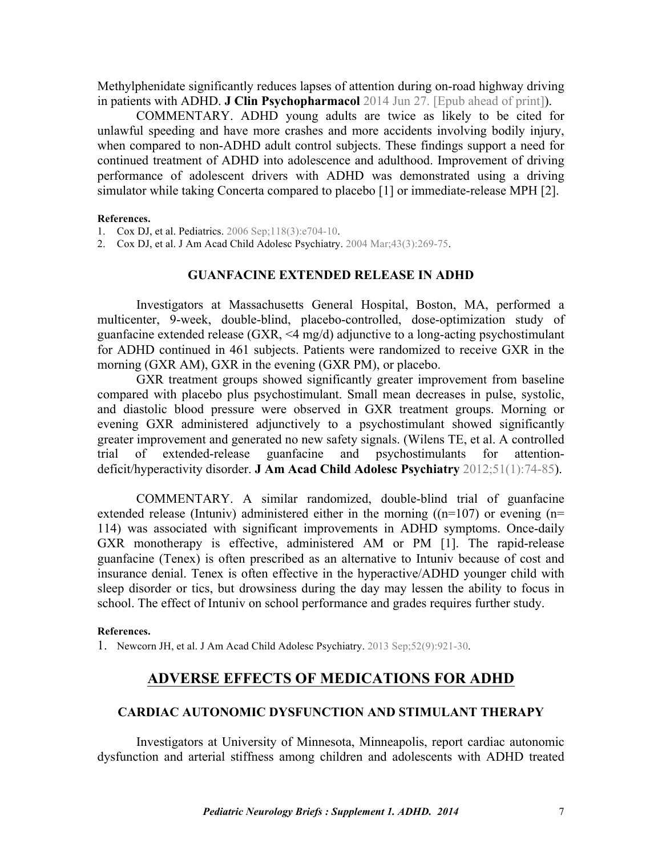[Methylphenidate significantly reduces lapses of attention during on-road highway driving](http://dx.doi.org/10.1097/JCP.0000000000000174) in patients with ADHD. **J Clin Psychopharmacol** 2014 Jun 27. [Epub ahead of print]).

 COMMENTARY. ADHD young adults are twice as likely to be cited for unlawful speeding and have more crashes and more accidents involving bodily injury, when compared to non-ADHD adult control subjects. These findings support a need for continued treatment of ADHD into adolescence and adulthood. Improvement of driving performance of adolescent drivers with ADHD was demonstrated using a driving simulator while taking Concerta compared to placebo [1] or immediate-release MPH [2].

#### **References.**

1. [Cox DJ, et al. Pediatrics. 2006 Sep;118\(3\):e704-10.](http://dx.doi.org/10.1542/peds.2005-2947) 

2. [Cox DJ, et al. J Am Acad Child Adolesc Psychiatry. 2004 Mar;43\(3\):269-75.](http://dx.doi.org/10.1097/00004583-200403000-00007)

# **GUANFACINE EXTENDED RELEASE IN ADHD**

Investigators at Massachusetts General Hospital, Boston, MA, performed a multicenter, 9-week, double-blind, placebo-controlled, dose-optimization study of guanfacine extended release (GXR, <4 mg/d) adjunctive to a long-acting psychostimulant for ADHD continued in 461 subjects. Patients were randomized to receive GXR in the morning (GXR AM), GXR in the evening (GXR PM), or placebo.

GXR treatment groups showed significantly greater improvement from baseline compared with placebo plus psychostimulant. Small mean decreases in pulse, systolic, and diastolic blood pressure were observed in GXR treatment groups. Morning or evening GXR administered adjunctively to a psychostimulant showed significantly greater improvement and generated no new safety signals. (Wilens TE, et al. A controlled [trial of extended-release guanfacine and psychostimulants for attention](http://dx.doi.org/10.1016/j.jaac.2011.10.012)deficit/hyperactivity disorder. **J Am Acad Child Adolesc Psychiatry** 2012;51(1):74-85).

 COMMENTARY. A similar randomized, double-blind trial of guanfacine extended release (Intuniv) administered either in the morning  $((n=107))$  or evening  $(n=107))$ 114) was associated with significant improvements in ADHD symptoms. Once-daily GXR monotherapy is effective, administered AM or PM [1]. The rapid-release guanfacine (Tenex) is often prescribed as an alternative to Intuniv because of cost and insurance denial. Tenex is often effective in the hyperactive/ADHD younger child with sleep disorder or tics, but drowsiness during the day may lessen the ability to focus in school. The effect of Intuniv on school performance and grades requires further study.

### **References.**

1. [Newcorn JH, et al. J Am Acad Child Adolesc Psychiatry. 2013 Sep;52\(9\):921-30](http://dx.doi.org/10.1016/j.jaac.2013.06.006).

# **ADVERSE EFFECTS OF MEDICATIONS FOR ADHD**

### **CARDIAC AUTONOMIC DYSFUNCTION AND STIMULANT THERAPY**

Investigators at University of Minnesota, Minneapolis, report cardiac autonomic dysfunction and arterial stiffness among children and adolescents with ADHD treated